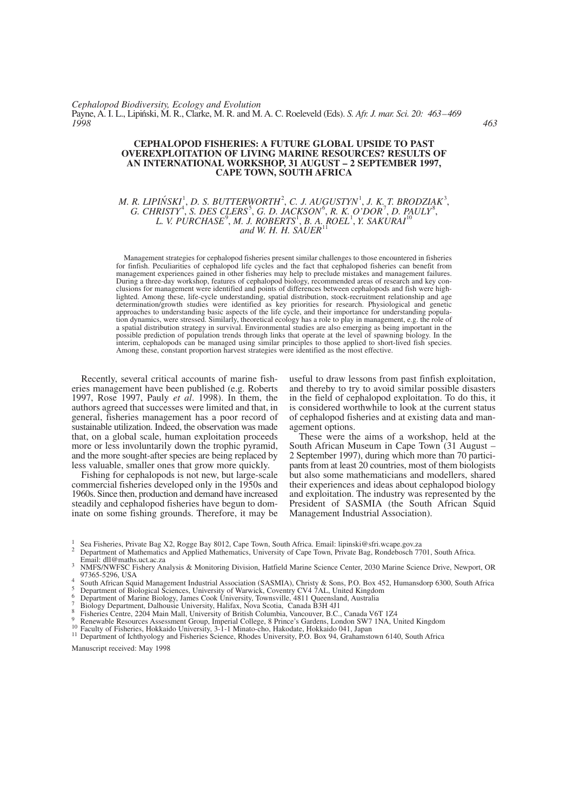# **CEPHALOPOD FISHERIES: A FUTURE GLOBAL UPSIDE TO PAST OVEREXPLOITATION OF LIVING MARINE RESOURCES? RESULTS OF AN INTERNATIONAL WORKSHOP, 31 AUGUST – 2 SEPTEMBER 1997, CAPE TOWN, SOUTH AFRICA**

# M. R. LIPIŃSKI<sup>1</sup>, D. S. BUTTERWORTH<sup>2</sup>, C. J. AUGUSTYN<sup>1</sup>, J. K. T. BRODZIAK<sup>3</sup>, G. CHRISTY<sup>4</sup>, S. DES CLERS<sup>5</sup>, G. D. JACKSON<sup>6</sup>, R. K. O'DOR<sup>7</sup>, D. PAULY<sup>8</sup>, L. V. PURCHASE<sup>9</sup>, M. J. ROBERTS<sup>1</sup>, B. A. ROEL<sup>1</sup>, Y. SAKUR and W. H. H. SAUER<sup>11</sup>

Management strategies for cephalopod fisheries present similar challenges to those encountered in fisheries for finfish. Peculiarities of cephalopod life cycles and the fact that cephalopod fisheries can benefit from management experiences gained in other fisheries may help to preclude mistakes and management failures. During a three-day workshop, features of cephalopod biology, recommended areas of research and key conclusions for management were identified and points of differences between cephalopods and fish were highlighted. Among these, life-cycle understanding, spatial distribution, stock-recruitment relationship and age determination/growth studies were identified as key priorities for research. Physiological and genetic approaches to understanding basic aspects of the life cycle, and their importance for understanding population dynamics, were stressed. Similarly, theoretical ecology has a role to play in management, e.g. the role of a spatial distribution strategy in survival. Environmental studies are also emerging as being important in the possible prediction of population trends through links that operate at the level of spawning biology. In the interim, cephalopods can be managed using similar principles to those applied to short-lived fish species. Among these, constant proportion harvest strategies were identified as the most effective.

Recently, several critical accounts of marine fisheries management have been published (e.g. Roberts 1997, Rose 1997, Pauly *et al*. 1998). In them, the authors agreed that successes were limited and that, in general, fisheries management has a poor record of sustainable utilization. Indeed, the observation was made that, on a global scale, human exploitation proceeds more or less involuntarily down the trophic pyramid, and the more sought-after species are being replaced by less valuable, smaller ones that grow more quickly.

Fishing for cephalopods is not new, but large-scale commercial fisheries developed only in the 1950s and 1960s. Since then, production and demand have increased steadily and cephalopod fisheries have begun to dominate on some fishing grounds. Therefore, it may be useful to draw lessons from past finfish exploitation, and thereby to try to avoid similar possible disasters in the field of cephalopod exploitation. To do this, it is considered worthwhile to look at the current status of cephalopod fisheries and at existing data and management options.

These were the aims of a workshop, held at the South African Museum in Cape Town (31 August – 2 September 1997), during which more than 70 participants from at least 20 countries, most of them biologists but also some mathematicians and modellers, shared their experiences and ideas about cephalopod biology and exploitation. The industry was represented by the President of SASMIA (the South African Squid Management Industrial Association).

- 
- 

Manuscript received: May 1998

<sup>&</sup>lt;sup>1</sup> Sea Fisheries, Private Bag X2, Rogge Bay 8012, Cape Town, South Africa. Email: lipinski@sfri.wcape.gov.za<br><sup>2</sup> Department of Mathematics and Applied Mathematics, University of Cape Town, Private Bag, Rondebosch 7701, S

Email: dll@maths.uct.ac.za<br>3 NMFS/NWFSC Fishery Analysis & Monitoring Division, Hatfield Marine Science Center, 2030 Marine Science Drive, Newport, OR<br>97365-5296, USA

Franch African Squid Management Industrial Association (SASMIA), Christy & Sons, P.O. Box 452, Humansdorp 6300, South Africa<br>
<sup>5</sup> Department of Biological Sciences, University of Warwick, Coventry CV4 7AL, United Kingdom<br>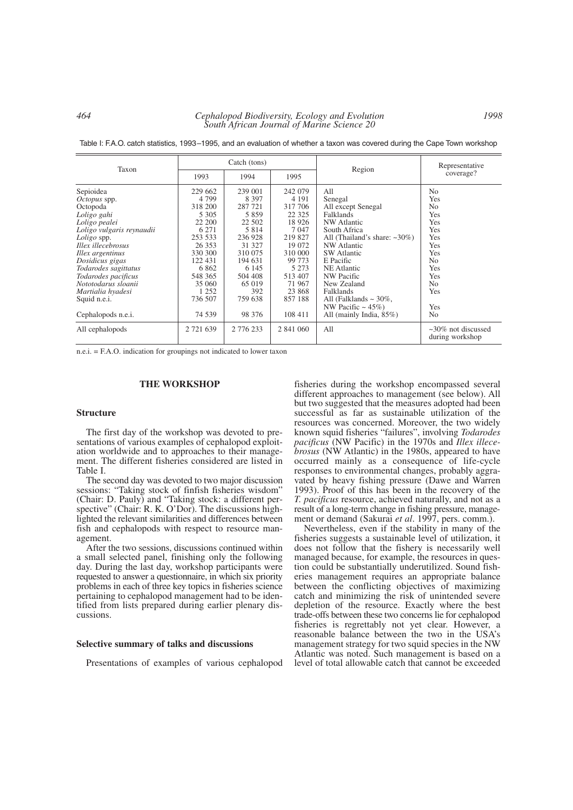## *464 Cephalopod Biodiversity, Ecology and Evolution South African Journal of Marine Science 20*

Table I: F.A.O. catch statistics, 1993–1995, and an evaluation of whether a taxon was covered during the Cape Town workshop

| Taxon                                                                                                                                                                                                                                                                                            | Catch (tons)                                                                                                                                                 |                                                                                                                                                         |                                                                                                                                                            | Region                                                                                                                                                                                                                                                                                                | Representative                                                                                                                                    |  |  |
|--------------------------------------------------------------------------------------------------------------------------------------------------------------------------------------------------------------------------------------------------------------------------------------------------|--------------------------------------------------------------------------------------------------------------------------------------------------------------|---------------------------------------------------------------------------------------------------------------------------------------------------------|------------------------------------------------------------------------------------------------------------------------------------------------------------|-------------------------------------------------------------------------------------------------------------------------------------------------------------------------------------------------------------------------------------------------------------------------------------------------------|---------------------------------------------------------------------------------------------------------------------------------------------------|--|--|
|                                                                                                                                                                                                                                                                                                  | 1993                                                                                                                                                         | 1994                                                                                                                                                    | 1995                                                                                                                                                       |                                                                                                                                                                                                                                                                                                       | coverage?                                                                                                                                         |  |  |
| Sepioidea<br><i>Octopus</i> spp.<br>Octopoda<br>Loligo gahi<br>Loligo pealei<br>Loligo vulgaris reynaudii<br>Loligo spp.<br>Illex illecebrosus<br>Illex argentinus<br>Dosidicus gigas<br>Todarodes sagittatus<br>Todarodes pacificus<br>Nototodarus sloanii<br>Martialia hyadesi<br>Squid n.e.i. | 229 662<br>4 7 9 9<br>318 200<br>5 3 0 5<br>22 200<br>6 2 7 1<br>253 533<br>26 353<br>330 300<br>122 431<br>6 8 6 2<br>548 365<br>35 060<br>1 252<br>736 507 | 239 001<br>8 3 9 7<br>287 721<br>5 8 5 9<br>22 502<br>5814<br>236 928<br>31 327<br>310 075<br>194 631<br>6 1 4 5<br>504 408<br>65 019<br>392<br>759 638 | 242 079<br>4 1 9 1<br>317 706<br>22 3 25<br>18 9 26<br>7047<br>219 827<br>19 072<br>310 000<br>99 773<br>5 2 7 3<br>513 407<br>71 967<br>23 868<br>857 188 | All<br>Senegal<br>All except Senegal<br><b>Falklands</b><br>NW Atlantic<br>South Africa<br>All (Thailand's share: $~30\%$ )<br>NW Atlantic<br><b>SW</b> Atlantic<br>E Pacific<br><b>NE</b> Atlantic<br>NW Pacific<br>New Zealand<br>Falklands<br>All (Falklands $\sim$ 30%,<br>NW Pacific $\sim$ 45%) | N <sub>o</sub><br>Yes<br>N <sub>0</sub><br>Yes<br>Yes<br>Yes<br>Yes<br>Yes<br>Yes<br>N <sub>o</sub><br>Yes<br>Yes<br>N <sub>o</sub><br>Yes<br>Yes |  |  |
| Cephalopods n.e.i.                                                                                                                                                                                                                                                                               | 74 539                                                                                                                                                       | 98 376                                                                                                                                                  | 108 411                                                                                                                                                    | All (mainly India, 85%)                                                                                                                                                                                                                                                                               | N <sub>0</sub>                                                                                                                                    |  |  |
| All cephalopods                                                                                                                                                                                                                                                                                  | 2 721 639                                                                                                                                                    | 2 776 233                                                                                                                                               | 2 841 060                                                                                                                                                  | All                                                                                                                                                                                                                                                                                                   | $\approx$ 30% not discussed<br>during workshop                                                                                                    |  |  |

n.e.i. = F.A.O. indication for groupings not indicated to lower taxon

## **THE WORKSHOP**

# **Structure**

The first day of the workshop was devoted to presentations of various examples of cephalopod exploitation worldwide and to approaches to their management. The different fisheries considered are listed in Table I.

The second day was devoted to two major discussion sessions: "Taking stock of finfish fisheries wisdom" (Chair: D. Pauly) and "Taking stock: a different perspective" (Chair: R. K. O'Dor). The discussions highlighted the relevant similarities and differences between fish and cephalopods with respect to resource management.

After the two sessions, discussions continued within a small selected panel, finishing only the following day. During the last day, workshop participants were requested to answer a questionnaire, in which six priority problems in each of three key topics in fisheries science pertaining to cephalopod management had to be identified from lists prepared during earlier plenary discussions.

#### **Selective summary of talks and discussions**

Presentations of examples of various cephalopod

fisheries during the workshop encompassed several different approaches to management (see below). All but two suggested that the measures adopted had been successful as far as sustainable utilization of the resources was concerned. Moreover, the two widely known squid fisheries "failures", involving *Todarodes pacificus* (NW Pacific) in the 1970s and *Illex illecebrosus* (NW Atlantic) in the 1980s, appeared to have occurred mainly as a consequence of life-cycle responses to environmental changes, probably aggravated by heavy fishing pressure (Dawe and Warren 1993). Proof of this has been in the recovery of the *T. pacificus* resource, achieved naturally, and not as a result of a long-term change in fishing pressure, management or demand (Sakurai *et al*. 1997, pers. comm.).

Nevertheless, even if the stability in many of the fisheries suggests a sustainable level of utilization, it does not follow that the fishery is necessarily well managed because, for example, the resources in question could be substantially underutilized. Sound fisheries management requires an appropriate balance between the conflicting objectives of maximizing catch and minimizing the risk of unintended severe depletion of the resource. Exactly where the best trade-offs between these two concerns lie for cephalopod fisheries is regrettably not yet clear. However, a reasonable balance between the two in the USA's management strategy for two squid species in the NW Atlantic was noted. Such management is based on a level of total allowable catch that cannot be exceeded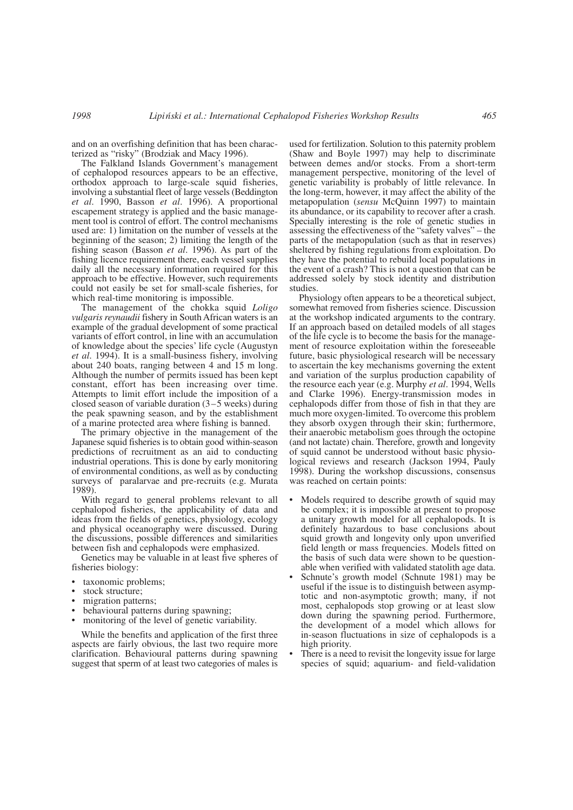and on an overfishing definition that has been characterized as "risky" (Brodziak and Macy 1996).

The Falkland Islands Government's management of cephalopod resources appears to be an effective, orthodox approach to large-scale squid fisheries, involving a substantial fleet of large vessels (Beddington *et al*. 1990, Basson *et al*. 1996). A proportional escapement strategy is applied and the basic management tool is control of effort. The control mechanisms used are: 1) limitation on the number of vessels at the beginning of the season; 2) limiting the length of the fishing season (Basson *et al*. 1996). As part of the fishing licence requirement there, each vessel supplies daily all the necessary information required for this approach to be effective. However, such requirements could not easily be set for small-scale fisheries, for which real-time monitoring is impossible.

The management of the chokka squid *Loligo vulgaris reynaudii* fishery in South African waters is an example of the gradual development of some practical variants of effort control, in line with an accumulation of knowledge about the species' life cycle (Augustyn *et al*. 1994). It is a small-business fishery, involving about 240 boats, ranging between 4 and 15 m long. Although the number of permits issued has been kept constant, effort has been increasing over time. Attempts to limit effort include the imposition of a closed season of variable duration  $(3-5$  weeks) during the peak spawning season, and by the establishment of a marine protected area where fishing is banned.

The primary objective in the management of the Japanese squid fisheries is to obtain good within-season predictions of recruitment as an aid to conducting industrial operations. This is done by early monitoring of environmental conditions, as well as by conducting surveys of paralarvae and pre-recruits (e.g. Murata 1989).

With regard to general problems relevant to all cephalopod fisheries, the applicability of data and ideas from the fields of genetics, physiology, ecology and physical oceanography were discussed. During the discussions, possible differences and similarities between fish and cephalopods were emphasized.

Genetics may be valuable in at least five spheres of fisheries biology:

- taxonomic problems;
- stock structure;
- migration patterns;
- behavioural patterns during spawning;
- monitoring of the level of genetic variability.

While the benefits and application of the first three aspects are fairly obvious, the last two require more clarification. Behavioural patterns during spawning suggest that sperm of at least two categories of males is

used for fertilization. Solution to this paternity problem (Shaw and Boyle 1997) may help to discriminate between demes and/or stocks. From a short-term management perspective, monitoring of the level of genetic variability is probably of little relevance. In the long-term, however, it may affect the ability of the metapopulation (*sensu* McQuinn 1997) to maintain its abundance, or its capability to recover after a crash. Specially interesting is the role of genetic studies in assessing the effectiveness of the "safety valves" – the parts of the metapopulation (such as that in reserves) sheltered by fishing regulations from exploitation. Do they have the potential to rebuild local populations in the event of a crash? This is not a question that can be addressed solely by stock identity and distribution studies.

Physiology often appears to be a theoretical subject, somewhat removed from fisheries science. Discussion at the workshop indicated arguments to the contrary. If an approach based on detailed models of all stages of the life cycle is to become the basis for the management of resource exploitation within the foreseeable future, basic physiological research will be necessary to ascertain the key mechanisms governing the extent and variation of the surplus production capability of the resource each year (e.g. Murphy *et al*. 1994, Wells and Clarke 1996). Energy-transmission modes in cephalopods differ from those of fish in that they are much more oxygen-limited. To overcome this problem they absorb oxygen through their skin; furthermore, their anaerobic metabolism goes through the octopine (and not lactate) chain. Therefore, growth and longevity of squid cannot be understood without basic physiological reviews and research (Jackson 1994, Pauly 1998). During the workshop discussions, consensus was reached on certain points:

- Models required to describe growth of squid may be complex; it is impossible at present to propose a unitary growth model for all cephalopods. It is definitely hazardous to base conclusions about squid growth and longevity only upon unverified field length or mass frequencies. Models fitted on the basis of such data were shown to be questionable when verified with validated statolith age data.
- Schnute's growth model (Schnute 1981) may be useful if the issue is to distinguish between asymptotic and non-asymptotic growth; many, if not most, cephalopods stop growing or at least slow down during the spawning period. Furthermore, the development of a model which allows for in-season fluctuations in size of cephalopods is a high priority.
- There is a need to revisit the longevity issue for large species of squid; aquarium- and field-validation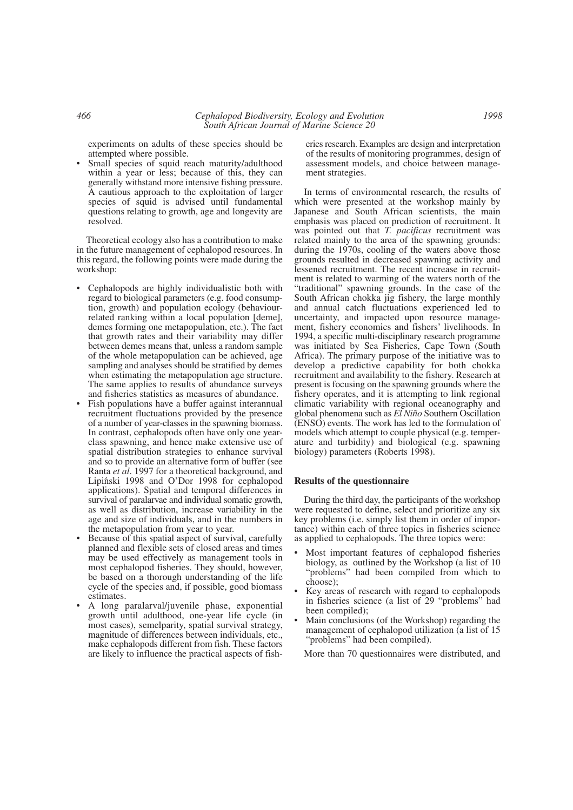experiments on adults of these species should be attempted where possible.

Small species of squid reach maturity/adulthood within a year or less; because of this, they can generally withstand more intensive fishing pressure. A cautious approach to the exploitation of larger species of squid is advised until fundamental questions relating to growth, age and longevity are resolved.

Theoretical ecology also has a contribution to make in the future management of cephalopod resources. In this regard, the following points were made during the workshop:

- Cephalopods are highly individualistic both with regard to biological parameters (e.g. food consumption, growth) and population ecology (behaviourrelated ranking within a local population [deme], demes forming one metapopulation, etc.). The fact that growth rates and their variability may differ between demes means that, unless a random sample of the whole metapopulation can be achieved, age sampling and analyses should be stratified by demes when estimating the metapopulation age structure. The same applies to results of abundance surveys and fisheries statistics as measures of abundance.
- Fish populations have a buffer against interannual recruitment fluctuations provided by the presence of a number of year-classes in the spawning biomass. In contrast, cephalopods often have only one yearclass spawning, and hence make extensive use of spatial distribution strategies to enhance survival and so to provide an alternative form of buffer (see Ranta *et al*. 1997 for a theoretical background, and Lipiński 1998 and O'Dor 1998 for cephalopod applications). Spatial and temporal differences in survival of paralarvae and individual somatic growth, as well as distribution, increase variability in the age and size of individuals, and in the numbers in the metapopulation from year to year.
- Because of this spatial aspect of survival, carefully planned and flexible sets of closed areas and times may be used effectively as management tools in most cephalopod fisheries. They should, however, be based on a thorough understanding of the life cycle of the species and, if possible, good biomass estimates.
- A long paralarval/juvenile phase, exponential growth until adulthood, one-year life cycle (in most cases), semelparity, spatial survival strategy, magnitude of differences between individuals, etc., make cephalopods different from fish. These factors are likely to influence the practical aspects of fish-

eries research. Examples are design and interpretation of the results of monitoring programmes, design of assessment models, and choice between management strategies.

In terms of environmental research, the results of which were presented at the workshop mainly by Japanese and South African scientists, the main emphasis was placed on prediction of recruitment. It was pointed out that *T. pacificus* recruitment was related mainly to the area of the spawning grounds: during the 1970s, cooling of the waters above those grounds resulted in decreased spawning activity and lessened recruitment. The recent increase in recruitment is related to warming of the waters north of the "traditional" spawning grounds. In the case of the South African chokka jig fishery, the large monthly and annual catch fluctuations experienced led to uncertainty, and impacted upon resource management, fishery economics and fishers' livelihoods. In 1994, a specific multi-disciplinary research programme was initiated by Sea Fisheries, Cape Town (South Africa). The primary purpose of the initiative was to develop a predictive capability for both chokka recruitment and availability to the fishery. Research at present is focusing on the spawning grounds where the fishery operates, and it is attempting to link regional climatic variability with regional oceanography and global phenomena such as *El Niño* Southern Oscillation (ENSO) events. The work has led to the formulation of models which attempt to couple physical (e.g. temperature and turbidity) and biological (e.g. spawning biology) parameters (Roberts 1998).

# **Results of the questionnaire**

During the third day, the participants of the workshop were requested to define, select and prioritize any six key problems (i.e. simply list them in order of importance) within each of three topics in fisheries science as applied to cephalopods. The three topics were:

- Most important features of cephalopod fisheries biology, as outlined by the Workshop (a list of 10 "problems" had been compiled from which to choose);
- Key areas of research with regard to cephalopods in fisheries science (a list of 29 "problems" had been compiled);
- Main conclusions (of the Workshop) regarding the management of cephalopod utilization (a list of 15 "problems" had been compiled).

More than 70 questionnaires were distributed, and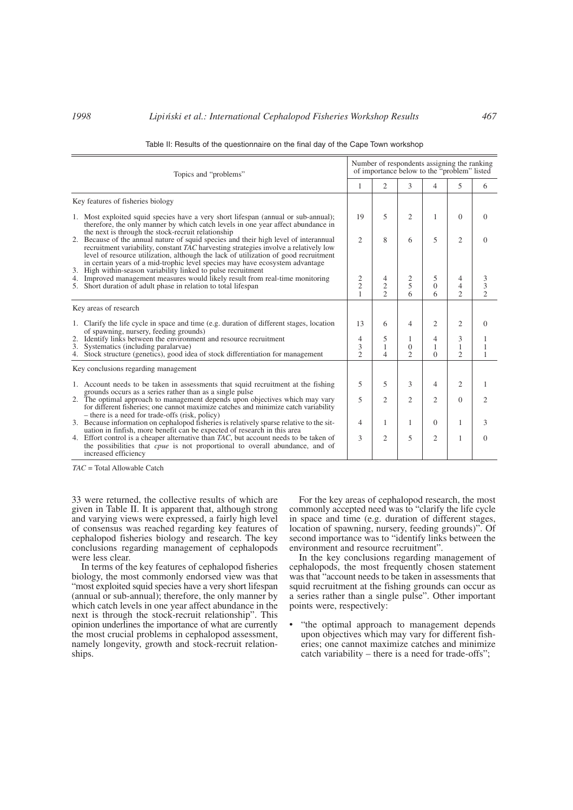| Topics and "problems"             |                                                                                                                                                                                                                                                                                                                              | Number of respondents assigning the ranking<br>of importance below to the "problem" listed |                                       |                                  |                          |                            |                                           |  |
|-----------------------------------|------------------------------------------------------------------------------------------------------------------------------------------------------------------------------------------------------------------------------------------------------------------------------------------------------------------------------|--------------------------------------------------------------------------------------------|---------------------------------------|----------------------------------|--------------------------|----------------------------|-------------------------------------------|--|
|                                   |                                                                                                                                                                                                                                                                                                                              | 1                                                                                          | $\overline{c}$                        | 3                                | 4                        | 5                          | 6                                         |  |
| Key features of fisheries biology |                                                                                                                                                                                                                                                                                                                              |                                                                                            |                                       |                                  |                          |                            |                                           |  |
|                                   | 1. Most exploited squid species have a very short lifespan (annual or sub-annual);<br>therefore, the only manner by which catch levels in one year affect abundance in<br>the next is through the stock-recruit relationship<br>2. Because of the annual nature of squid species and their high level of interannual         | 19<br>$\mathfrak{D}$                                                                       | 5<br>8                                | $\overline{2}$<br>6              | 1<br>5                   | $\Omega$<br>$\mathfrak{D}$ | $\Omega$<br>$\Omega$                      |  |
|                                   | recruitment variability, constant TAC harvesting strategies involve a relatively low<br>level of resource utilization, although the lack of utilization of good recruitment<br>in certain years of a mid-trophic level species may have ecosystem advantage<br>3. High within-season variability linked to pulse recruitment |                                                                                            |                                       |                                  |                          |                            |                                           |  |
|                                   | 4. Improved management measures would likely result from real-time monitoring<br>5. Short duration of adult phase in relation to total lifespan                                                                                                                                                                              | 2<br>$\overline{c}$<br>$\mathbf{1}$                                                        | 4<br>$\overline{2}$<br>$\mathfrak{D}$ | 2<br>5<br>6                      | 5<br>$\overline{0}$<br>6 | 4<br>4<br>$\mathfrak{D}$   | $\frac{3}{3}$<br>$\overline{\mathcal{L}}$ |  |
|                                   | Key areas of research                                                                                                                                                                                                                                                                                                        |                                                                                            |                                       |                                  |                          |                            |                                           |  |
|                                   | 1. Clarify the life cycle in space and time (e.g. duration of different stages, location<br>of spawning, nursery, feeding grounds)                                                                                                                                                                                           | 13                                                                                         | 6                                     | 4                                | 2                        | $\overline{c}$             | $\overline{0}$                            |  |
| 3.                                | 2. Identify links between the environment and resource recruitment<br>Systematics (including paralarvae)<br>4. Stock structure (genetics), good idea of stock differentiation for management                                                                                                                                 | 4<br>3<br>$\mathfrak{D}$                                                                   | 5<br>4                                | $\overline{0}$<br>$\mathfrak{D}$ | 4<br>1<br>$\Omega$       | 3<br>1<br>$\mathfrak{D}$   | 1<br>1                                    |  |
|                                   | Key conclusions regarding management                                                                                                                                                                                                                                                                                         |                                                                                            |                                       |                                  |                          |                            |                                           |  |
|                                   | 1. Account needs to be taken in assessments that squid recruitment at the fishing<br>grounds occurs as a series rather than as a single pulse                                                                                                                                                                                | 5                                                                                          | 5                                     | 3                                | $\overline{4}$           | $\overline{c}$             | 1                                         |  |
|                                   | 2. The optimal approach to management depends upon objectives which may vary<br>for different fisheries; one cannot maximize catches and minimize catch variability<br>– there is a need for trade-offs (risk, policy)                                                                                                       | 5                                                                                          | $\overline{c}$                        | $\overline{c}$                   | $\mathfrak{2}$           | $\Omega$                   | $\overline{c}$                            |  |
|                                   | 3. Because information on cephalopod fisheries is relatively sparse relative to the sit-<br>uation in finfish, more benefit can be expected of research in this area                                                                                                                                                         | 4                                                                                          | 1                                     | 1                                | $\Omega$                 | 1                          | 3                                         |  |
|                                   | 4. Effort control is a cheaper alternative than TAC, but account needs to be taken of<br>the possibilities that <i>cpue</i> is not proportional to overall abundance, and of<br>increased efficiency                                                                                                                         | 3                                                                                          | $\overline{c}$                        | 5                                | $\overline{2}$           | 1                          | $\mathbf{0}$                              |  |

## Table II: Results of the questionnaire on the final day of the Cape Town workshop

*TAC* = Total Allowable Catch

33 were returned, the collective results of which are given in Table II. It is apparent that, although strong and varying views were expressed, a fairly high level of consensus was reached regarding key features of cephalopod fisheries biology and research. The key conclusions regarding management of cephalopods were less clear.

In terms of the key features of cephalopod fisheries biology, the most commonly endorsed view was that "most exploited squid species have a very short lifespan (annual or sub-annual); therefore, the only manner by which catch levels in one year affect abundance in the next is through the stock-recruit relationship". This opinion underlines the importance of what are currently the most crucial problems in cephalopod assessment, namely longevity, growth and stock-recruit relationships.

For the key areas of cephalopod research, the most commonly accepted need was to "clarify the life cycle in space and time (e.g. duration of different stages, location of spawning, nursery, feeding grounds)". Of second importance was to "identify links between the environment and resource recruitment".

In the key conclusions regarding management of cephalopods, the most frequently chosen statement was that "account needs to be taken in assessments that squid recruitment at the fishing grounds can occur as a series rather than a single pulse". Other important points were, respectively:

• "the optimal approach to management depends upon objectives which may vary for different fisheries; one cannot maximize catches and minimize catch variability – there is a need for trade-offs";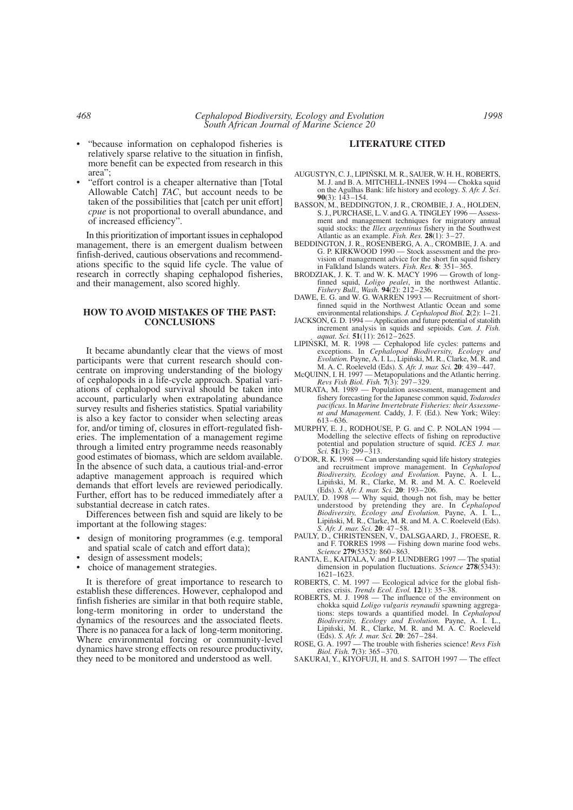- "because information on cephalopod fisheries is relatively sparse relative to the situation in finfish, more benefit can be expected from research in this area";
- "effort control is a cheaper alternative than [Total Allowable Catch] *TAC*, but account needs to be taken of the possibilities that [catch per unit effort] *cpue* is not proportional to overall abundance, and of increased efficiency".

In this prioritization of important issues in cephalopod management, there is an emergent dualism between finfish-derived, cautious observations and recommendations specific to the squid life cycle. The value of research in correctly shaping cephalopod fisheries, and their management, also scored highly.

# **HOW TO AVOID MISTAKES OF THE PAST: CONCLUSIONS**

It became abundantly clear that the views of most participants were that current research should concentrate on improving understanding of the biology of cephalopods in a life-cycle approach. Spatial variations of cephalopod survival should be taken into account, particularly when extrapolating abundance survey results and fisheries statistics. Spatial variability is also a key factor to consider when selecting areas for, and/or timing of, closures in effort-regulated fisheries. The implementation of a management regime through a limited entry programme needs reasonably good estimates of biomass, which are seldom available. In the absence of such data, a cautious trial-and-error adaptive management approach is required which demands that effort levels are reviewed periodically. Further, effort has to be reduced immediately after a substantial decrease in catch rates.

Differences between fish and squid are likely to be important at the following stages:

- design of monitoring programmes (e.g. temporal and spatial scale of catch and effort data);
- design of assessment models;
- choice of management strategies.

It is therefore of great importance to research to establish these differences. However, cephalopod and finfish fisheries are similar in that both require stable, long-term monitoring in order to understand the dynamics of the resources and the associated fleets. There is no panacea for a lack of long-term monitoring. Where environmental forcing or community-level dynamics have strong effects on resource productivity, they need to be monitored and understood as well.

# **LITERATURE CITED**

- AUGUSTYN, C. J., LIPIŃSKI, M. R., SAUER, W. H. H., ROBERTS, M. J. and B. A. MITCHELL-INNES 1994 — Chokka squid on the Agulhas Bank: life history and ecology. *S. Afr. J. Sci*. **90**(3): 143–154.
- BASSON, M., BEDDINGTON, J. R., CROMBIE, J. A., HOLDEN, S. J., PURCHASE, L. V. and G. A. TINGLEY 1996 — Assessment and management techniques for migratory annual squid stocks: the *Illex argentinus* fishery in the Southwest Atlantic as an example. *Fish. Res.* **28**(1): 3–27.
- BEDDINGTON, J. R., ROSENBERG, A. A., CROMBIE, J. A. and G. P. KIRKWOOD 1990 — Stock assessment and the provision of management advice for the short fin squid fishery in Falkland Islands waters. *Fish. Res.* **8**: 351–365.
- BRODZIAK, J. K. T. and W. K. MACY 1996 Growth of longfinned squid, *Loligo pealei*, in the northwest Atlantic. *Fishery Bull., Wash.* **94**(2): 212–236.
- DAWE, E. G. and W. G. WARREN 1993 Recruitment of shortfinned squid in the Northwest Atlantic Ocean and some environmental relationships. *J. Cephalopod Biol.* **2**(2): 1–21.
- JACKSON, G. D. 1994 Application and future potential of statolith increment analysis in squids and sepioids. *Can. J. Fish. aquat. Sci.* **51**(11): 2612–2625.
- LIPIŃSKI, M. R. 1998 Cephalopod life cycles: patterns and exceptions. In *Cephalopod Biodiversity, Ecology and Evolution.* Payne, A. I. L., Lipiński, M. R., Clarke, M. R. and M. A. C. Roeleveld (Eds). *S. Afr. J. mar. Sci.* **20**: 439–447.
- McQUINN, I. H. 1997 Metapopulations and the Atlantic herring. *Revs Fish Biol. Fish.* **7**(3): 297–329.
- MURATA, M. 1989 Population assessment, management and fishery forecasting for the Japanese common squid, *Todarodes pacificus*. In *Marine Invertebrate Fisheries: their Assessment and Management.* Caddy, J. F. (Ed.). New York; Wiley: 613–636.
- MURPHY, E. J., RODHOUSE, P. G. and C. P. NOLAN 1994 Modelling the selective effects of fishing on reproductive potential and population structure of squid. *ICES J. mar. Sci.* **51**(3): 299–313.
- O'DOR, R. K. 1998 Can understanding squid life history strategies and recruitment improve management. In *Cephalopod Biodiversity, Ecology and Evolution.* Payne, A. I. L., Lipiński, M. R., Clarke, M. R. and M. A. C. Roeleveld (Eds). *S. Afr. J. mar. Sci.* **20**: 193–206.
- PAULY, D. 1998 Why squid, though not fish, may be better understood by pretending they are. In *Cephalopod Biodiversity, Ecology and Evolution.* Payne, A. I. L., Lipiński, M. R., Clarke, M. R. and M. A. C. Roeleveld (Eds). *S. Afr. J. mar. Sci.* **20**: 47–58.
- PAULY, D., CHRISTENSEN, V., DALSGAARD, J., FROESE, R. and F. TORRES 1998 — Fishing down marine food webs. *Science* **279**(5352): 860–863.
- RANTA, E., KAITALA, V. and P. LUNDBERG 1997 The spatial dimension in population fluctuations. *Science* **278**(5343): 1621–1623.
- ROBERTS, C. M. 1997 Ecological advice for the global fisheries crisis. *Trends Ecol. Evol.* **12**(1): 35–38.
- ROBERTS, M. J. 1998 The influence of the environment on chokka squid *Loligo vulgaris reynaudii* spawning aggregations: steps towards a quantified model. In *Cephalopod Biodiversity, Ecology and Evolution.* Payne, A. I. L., Lipiński, M. R., Clarke, M. R. and M. A. C. Roeleveld (Eds). *S. Afr. J. mar. Sci.* **20**: 267–284.
- ROSE, G. A. 1997 The trouble with fisheries science! *Revs Fish Biol. Fish.* **7**(3): 365–370.
- SAKURAI, Y., KIYOFUJI, H. and S. SAITOH 1997 The effect